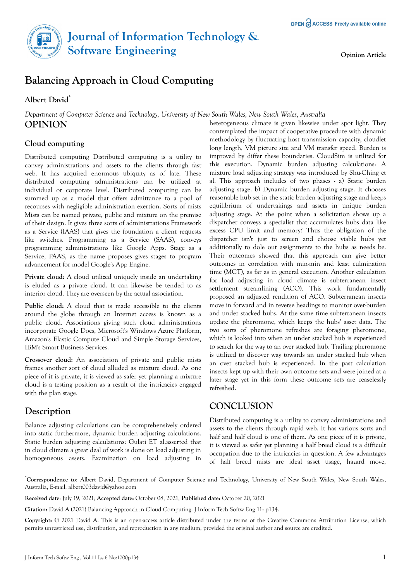# **Journal of Information Technology & Software Engineering Company Opinion Article**

# **Balancing Approach in Cloud Computing**

#### **Albert David\***

*Department of Computer Science and Technology, University of New South Wales, New South Wales, Australia* **OPINION**

#### **Cloud computing**

Distributed computing Distributed computing is a utility to convey administrations and assets to the clients through fast web. It has acquired enormous ubiquity as of late. These distributed computing administrations can be utilized at individual or corporate level. Distributed computing can be summed up as a model that offers admittance to a pool of recourses with negligible administration exertion. Sorts of mists Mists can be named private, public and mixture on the premise of their design. It gives three sorts of administrations Framework as a Service (IAAS) that gives the foundation a client requests like switches. Programming as a Service (SAAS), conveys programming administrations like Google Apps. Stage as a Service, PAAS, as the name proposes gives stages to program advancement for model Google's App Engine.

**Private cloud:** A cloud utilized uniquely inside an undertaking is eluded as a private cloud. It can likewise be tended to as interior cloud. They are overseen by the actual association.

Public cloud: A cloud that is made accessible to the clients around the globe through an Internet access is known as a public cloud. Associations giving such cloud administrations incorporate Google Docs, Microsoft's Windows Azure Platform, Amazon's Elastic Compute Cloud and Simple Storage Services, IBM's Smart Business Services.

**Crossover cloud:** An association of private and public mists frames another sort of cloud alluded as mixture cloud. As one piece of it is private, it is viewed as safer yet planning a mixture cloud is a testing position as a result of the intricacies engaged with the plan stage.

## **Description**

Balance adjusting calculations can be comprehensively ordered into static furthermore, dynamic burden adjusting calculations. Static burden adjusting calculations: Gulati ET al.asserted that in cloud climate a great deal of work is done on load adjusting in homogeneous assets. Examination on load adjusting in heterogeneous climate is given likewise under spot light. They contemplated the impact of cooperative procedure with dynamic methodology by fluctuating host transmission capacity, cloudlet long length, VM picture size and VM transfer speed. Burden is improved by differ these boundaries. CloudSim is utilized for this execution. Dynamic burden adjusting calculations: A mixture load adjusting strategy was introduced by Shu-Ching et al. This approach includes of two phases - a) Static burden adjusting stage. b) Dynamic burden adjusting stage. It chooses reasonable hub set in the static burden adjusting stage and keeps equilibrium of undertakings and assets in unique burden adjusting stage. At the point when a solicitation shows up a dispatcher conveys a specialist that accumulates hubs data like excess CPU limit and memory? Thus the obligation of the dispatcher isn't just to screen and choose viable hubs yet additionally to dole out assignments to the hubs as needs be. Their outcomes showed that this approach can give better outcomes in correlation with min-min and least culmination time (MCT), as far as in general execution. Another calculation for load adjusting in cloud climate is subterranean insect settlement streamlining (ACO). This work fundamentally proposed an adjusted rendition of ACO. Subterranean insects move in forward and in reverse headings to monitor over-burden and under stacked hubs. At the same time subterranean insects update the pheromone, which keeps the hubs' asset data. The two sorts of pheromone refreshes are foraging pheromone, which is looked into when an under stacked hub is experienced to search for the way to an over stacked hub. Trailing pheromone is utilized to discover way towards an under stacked hub when an over stacked hub is experienced. In the past calculation insects kept up with their own outcome sets and were joined at a later stage yet in this form these outcome sets are ceaselessly refreshed.

## **CONCLUSION**

Distributed computing is a utility to convey administrations and assets to the clients through rapid web. It has various sorts and half and half cloud is one of them. As one piece of it is private, it is viewed as safer yet planning a half breed cloud is a difficult occupation due to the intricacies in question. A few advantages of half breed mists are ideal asset usage, hazard move,

\***Correspondence to**: Albert David, Department of Computer Science and Technology, University of New South Wales, New South Wales, Australia, E-mail: albert003david@yahoo.com

**Received date**: July 19, 2021*;* **Accepted date:** October 08, 2021*;* **Published date:** October 20, 2021

**Citation:** David A (2021) Balancing Approach in Cloud Computing. J Inform Tech Softw Eng 11: p134.

**Copyright:** © 2021 David A. This is an open-access article distributed under the terms of the Creative Commons Attribution License, which permits unrestricted use, distribution, and reproduction in any medium, provided the original author and source are credited.